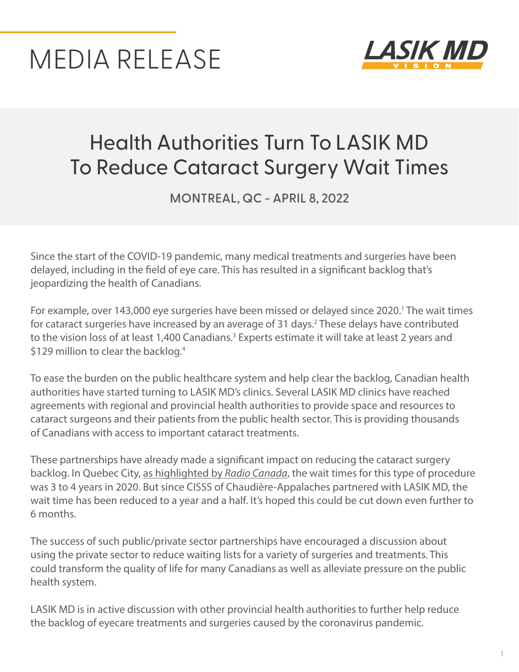# MEDIA RELEASE



# Health Authorities Turn To LASIK MD To Reduce Cataract Surgery Wait Times

**MONTREAL, QC - APRIL 8, 2022**

Since the start of the COVID-19 pandemic, many medical treatments and surgeries have been delayed, including in the field of eye care. This has resulted in a significant backlog that's jeopardizing the health of Canadians.

For example, over 143,000 eye surgeries have been missed or delayed since 2020.<sup>1</sup> The wait times for cataract surgeries have increased by an average of 31 days.<sup>2</sup> These delays have contributed to the vision loss of at least 1,400 Canadians.<sup>3</sup> Experts estimate it will take at least 2 years and \$129 million to clear the backlog.<sup>4</sup>

To ease the burden on the public healthcare system and help clear the backlog, Canadian health authorities have started turning to LASIK MD's clinics. Several LASIK MD clinics have reached agreements with regional and provincial health authorities to provide space and resources to cataract surgeons and their patients from the public health sector. This is providing thousands of Canadians with access to important cataract treatments.

These partnerships have already made a significant impact on reducing the cataract surgery backlog. In Quebec City, [as highlighted by](https://ici.radio-canada.ca/nouvelle/1871611/cataracte-ramq-quebec-chirurgie) *Radio Canada*, the wait times for this type of procedure was 3 to 4 years in 2020. But since CISSS of Chaudière-Appalaches partnered with LASIK MD, the wait time has been reduced to a year and a half. It's hoped this could be cut down even further to 6 months.

The success of such public/private sector partnerships have encouraged a discussion about using the private sector to reduce waiting lists for a variety of surgeries and treatments. This could transform the quality of life for many Canadians as well as alleviate pressure on the public health system.

LASIK MD is in active discussion with other provincial health authorities to further help reduce the backlog of eyecare treatments and surgeries caused by the coronavirus pandemic.